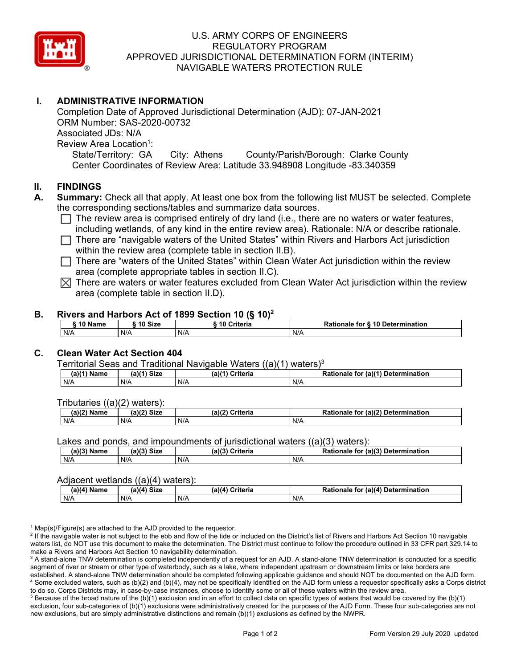

## U.S. ARMY CORPS OF ENGINEERS REGULATORY PROGRAM APPROVED JURISDICTIONAL DETERMINATION FORM (INTERIM) NAVIGABLE WATERS PROTECTION RULE

## **I. ADMINISTRATIVE INFORMATION**

Completion Date of Approved Jurisdictional Determination (AJD): 07-JAN-2021 ORM Number: SAS-2020-00732 Associated JDs: N/A Review Area Location<sup>1</sup>: State/Territory: GA City: Athens County/Parish/Borough: Clarke County Center Coordinates of Review Area: Latitude 33.948908 Longitude -83.340359

## **II. FINDINGS**

- **A. Summary:** Check all that apply. At least one box from the following list MUST be selected. Complete the corresponding sections/tables and summarize data sources.
	- $\Box$  The review area is comprised entirely of dry land (i.e., there are no waters or water features, including wetlands, of any kind in the entire review area). Rationale: N/A or describe rationale.
	- $\Box$  There are "navigable waters of the United States" within Rivers and Harbors Act jurisdiction within the review area (complete table in section II.B).
	- $\Box$  There are "waters of the United States" within Clean Water Act jurisdiction within the review area (complete appropriate tables in section II.C).
	- $\boxtimes$  There are waters or water features excluded from Clean Water Act jurisdiction within the review area (complete table in section II.D).

#### **B. Rivers and Harbors Act of 1899 Section 10 (§ 10)2**

| $\hat{ }$ 10 Name |     | 10 Size | ---<br>Criteria | Rationale for § 10 Determination |  |
|-------------------|-----|---------|-----------------|----------------------------------|--|
| N/A               | N/A |         | N/A             | N/A                              |  |

## **C. Clean Water Act Section 404**

#### Territorial Seas and Traditional Navigable Waters ((a)(1) waters)3

| $(a)(1)$ Name | (a)(4)<br><b>Size</b> | (a)( <sup>4)</sup><br>Criteria | $\mathsf{u}$ r (a)( $^{\prime\prime}$ )<br>Determination<br>Rationale<br>tor |
|---------------|-----------------------|--------------------------------|------------------------------------------------------------------------------|
| N/A           | N/A                   | N/A                            | N/A                                                                          |

Tributaries ((a)(2) waters):

| (2)<br><b>Name</b> | (a)(2)<br><b>Size</b> | (a)(2)<br>$\sim$ $\sim$ $\sim$ $\sim$ $\sim$<br>unena | $r \ln 10$<br>Determ<br>Dotion<br>nination<br>tor<br>.ne<br>не<br>.<br>. |
|--------------------|-----------------------|-------------------------------------------------------|--------------------------------------------------------------------------|
| N/A                | N/A                   | N/A                                                   | N/A                                                                      |

Lakes and ponds, and impoundments of jurisdictional waters  $((a)(3)$  waters):

| (a)(3) Name | (a)(3) Size | $(a)$ $(2)$ | ا Criteria | Rationale<br>tor | $($ a)(3 $)$<br>Determination |
|-------------|-------------|-------------|------------|------------------|-------------------------------|
| N/A         | N/A         | N/F         |            | N/A              |                               |

#### Adjacent wetlands ((a)(4) waters):

|                                    | - - - - -<br>. |                 |                                            |  |  |
|------------------------------------|----------------|-----------------|--------------------------------------------|--|--|
| $(a)(4)$ $^{\prime\prime}$<br>Name | (a)(4) Size    | (a)(4) Criteria | for $(a)(4)$<br>Determination<br>Rationale |  |  |
| N/A                                | N/A            | N/A             | N/A                                        |  |  |

 $^1$  Map(s)/Figure(s) are attached to the AJD provided to the requestor.<br><sup>2</sup> If the navigable water is not subject to the ebb and flow of the tide or

<sup>2</sup> If the navigable water is not subject to the ebb and flow of the tide or included on the District's list of Rivers and Harbors Act Section 10 navigable waters list, do NOT use this document to make the determination. The District must continue to follow the procedure outlined in 33 CFR part 329.14 to make a Rivers and Harbors Act Section 10 navigability determination.

 $^3$  A stand-alone TNW determination is completed independently of a request for an AJD. A stand-alone TNW determination is conducted for a specific segment of river or stream or other type of waterbody, such as a lake, where independent upstream or downstream limits or lake borders are established. A stand-alone TNW determination should be completed following applicable guidance and should NOT be documented on the AJD form. 4 Some excluded waters, such as (b)(2) and (b)(4), may not be specifically identified on the AJD form unless a requestor specifically asks a Corps district to do so. Corps Districts may, in case-by-case instances, choose to identify some or all of these waters within the review area. 5

<sup>5</sup> Because of the broad nature of the (b)(1) exclusion and in an effort to collect data on specific types of waters that would be covered by the (b)(1) exclusion, four sub-categories of (b)(1) exclusions were administratively created for the purposes of the AJD Form. These four sub-categories are not new exclusions, but are simply administrative distinctions and remain (b)(1) exclusions as defined by the NWPR.